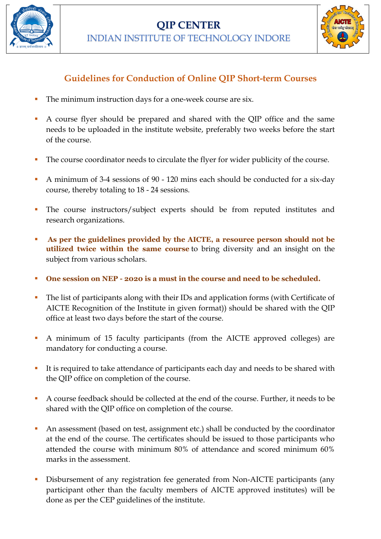



## **Guidelines for Conduction of Online QIP Short-term Courses**

- The minimum instruction days for a one-week course are six.
- A course flyer should be prepared and shared with the QIP office and the same needs to be uploaded in the institute website, preferably two weeks before the start of the course.
- The course coordinator needs to circulate the flyer for wider publicity of the course.
- A minimum of 3-4 sessions of 90 120 mins each should be conducted for a six-day course, thereby totaling to 18 - 24 sessions.
- The course instructors/subject experts should be from reputed institutes and research organizations.
- As per the guidelines provided by the AICTE, a resource person should not be **utilized twice within the same course** to bring diversity and an insight on the subject from various scholars.
- **One session on NEP - 2020 is a must in the course and need to be scheduled.**
- The list of participants along with their IDs and application forms (with Certificate of AICTE Recognition of the Institute in given format)) should be shared with the QIP office at least two days before the start of the course.
- A minimum of 15 faculty participants (from the AICTE approved colleges) are mandatory for conducting a course.
- It is required to take attendance of participants each day and needs to be shared with the QIP office on completion of the course.
- A course feedback should be collected at the end of the course. Further, it needs to be shared with the QIP office on completion of the course.
- An assessment (based on test, assignment etc.) shall be conducted by the coordinator at the end of the course. The certificates should be issued to those participants who attended the course with minimum 80% of attendance and scored minimum 60% marks in the assessment.
- Disbursement of any registration fee generated from Non-AICTE participants (any participant other than the faculty members of AICTE approved institutes) will be done as per the CEP guidelines of the institute.